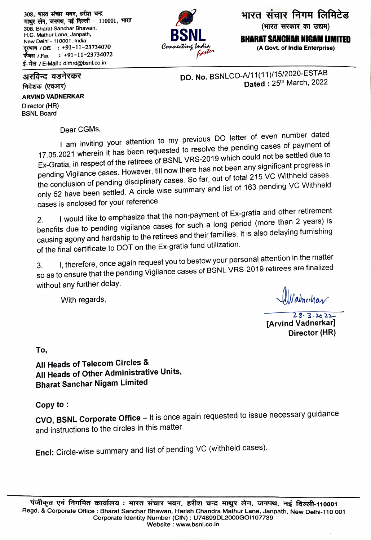308, भारत संचार भवन, हरीश चन्द्र माथुर लेन, जनपथ, नई दिल्ली - 110001, भारत 308, Bharat Sanchar Bhawan, H.C. Mathur Lane, Janpath, New Delhi - 110001, India दूरभाष / Off. : +91-11-23734070  $: +91-11-23734072$ फैक्स */* Fax ई-मेल / E-Mail: dirhrd@bsnl.co.in

भारत संचार निगम लिमिटेड (भारत सरकार का उद्यम) **BHARAT SANCHAR NIGAM LIMITED** 

(A Govt. of India Enterprise)

Dated: 25th March, 2022

DO. No. BSNLCO-A/11(11)/15/2020-ESTAB

## अरविन्द वडनेरकर

निदेशक (एचआर)

## **ARVIND VADNERKAR**

Director (HR) **BSNL Board** 

Dear CGMs,

I am inviting your attention to my previous DO letter of even number dated 17.05.2021 wherein it has been requested to resolve the pending cases of payment of Ex-Gratia, in respect of the retirees of BSNL VRS-2019 which could not be settled due to pending Vigilance cases. However, till now there has not been any significant progress in the conclusion of pending disciplinary cases. So far, out of total 215 VC Withheld cases, only 52 have been settled. A circle wise summary and list of 163 pending VC Withheld cases is enclosed for your reference.

I would like to emphasize that the non-payment of Ex-gratia and other retirement benefits due to pending vigilance cases for such a long period (more than 2 years) is causing agony and hardship to the retirees and their families. It is also delaying furnishing of the final certificate to DOT on the Ex-gratia fund utilization.

I, therefore, once again request you to bestow your personal attention in the matter so as to ensure that the pending Vigilance cases of BSNL VRS-2019 retirees are finalized 3. without any further delay.

With regards,

Nadnochar

 $28.3.2022$ **[Arvind Vadnerkar]** Director (HR)

To,

All Heads of Telecom Circles & All Heads of Other Administrative Units, **Bharat Sanchar Nigam Limited** 

Copy to:

CVO, BSNL Corporate Office - It is once again requested to issue necessary guidance and instructions to the circles in this matter.

Encl: Circle-wise summary and list of pending VC (withheld cases).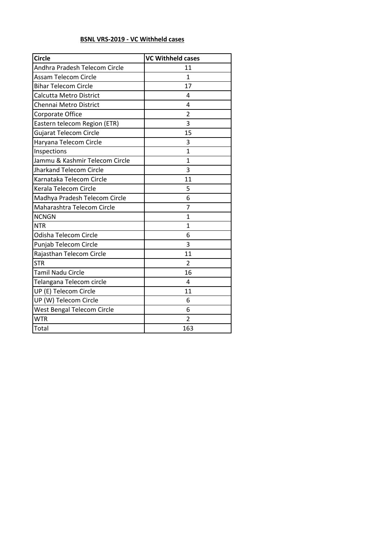## **BSNL VRS-2019 - VC Withheld cases**

| <b>Circle</b>                  | <b>VC Withheld cases</b> |
|--------------------------------|--------------------------|
| Andhra Pradesh Telecom Circle  | 11                       |
| Assam Telecom Circle           | $\mathbf{1}$             |
| <b>Bihar Telecom Circle</b>    | 17                       |
| Calcutta Metro District        | 4                        |
| Chennai Metro District         | 4                        |
| Corporate Office               | $\overline{2}$           |
| Eastern telecom Region (ETR)   | 3                        |
| <b>Gujarat Telecom Circle</b>  | 15                       |
| Haryana Telecom Circle         | 3                        |
| Inspections                    | $\overline{1}$           |
| Jammu & Kashmir Telecom Circle | 1                        |
| <b>Jharkand Telecom Circle</b> | 3                        |
| Karnataka Telecom Circle       | 11                       |
| Kerala Telecom Circle          | 5                        |
| Madhya Pradesh Telecom Circle  | 6                        |
| Maharashtra Telecom Circle     | 7                        |
| <b>NCNGN</b>                   | 1                        |
| <b>NTR</b>                     | $\overline{1}$           |
| Odisha Telecom Circle          | 6                        |
| Punjab Telecom Circle          | 3                        |
| Rajasthan Telecom Circle       | 11                       |
| <b>STR</b>                     | $\overline{2}$           |
| <b>Tamil Nadu Circle</b>       | 16                       |
| Telangana Telecom circle       | 4                        |
| UP (E) Telecom Circle          | 11                       |
| UP (W) Telecom Circle          | 6                        |
| West Bengal Telecom Circle     | 6                        |
| <b>WTR</b>                     | $\overline{2}$           |
| Total                          | 163                      |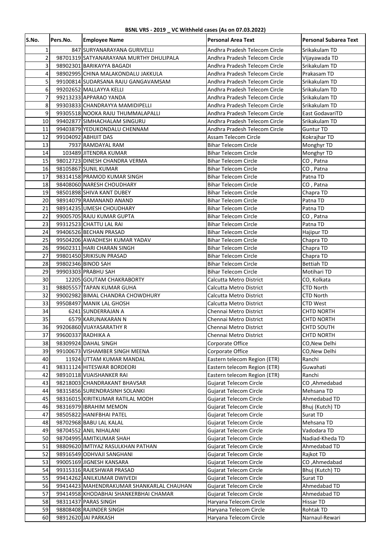## **BSNL VRS - 2019 \_ VC Withheld cases (As on 07.03.2022)**

| S.No.          | Pers.No. | <b>Employee Name</b>                                         | <b>Personal Area Text</b>                                  | <b>Personal Subarea Text</b>    |
|----------------|----------|--------------------------------------------------------------|------------------------------------------------------------|---------------------------------|
| 1              |          | 847 SURYANARAYANA GURIVELLI                                  | Andhra Pradesh Telecom Circle                              | Srikakulam TD                   |
| $\overline{2}$ |          | 98701319 SATYANARAYANA MURTHY DHULIPALA                      | Andhra Pradesh Telecom Circle                              | Vijayawada TD                   |
| 3              |          | 98902301 BARIKAYYA BAGADI                                    | Andhra Pradesh Telecom Circle                              | Srikakulam TD                   |
| 4              |          | 98902995 CHINA MALAKONDALU JAKKULA                           | Andhra Pradesh Telecom Circle                              | Prakasam TD                     |
| 5              |          | 99100814 SUDARSANA RAJU GANGAVAMSAM                          | Andhra Pradesh Telecom Circle                              | Srikakulam TD                   |
| 6              |          | 99202652 MALLAYYA KELLI                                      | Andhra Pradesh Telecom Circle                              | Srikakulam TD                   |
| $\overline{7}$ |          | 99213233 APPARAO YANDA                                       | Andhra Pradesh Telecom Circle                              | Srikakulam TD                   |
| 8              |          | 99303833 CHANDRAYYA MAMIDIPELLI                              | Andhra Pradesh Telecom Circle                              | Srikakulam TD                   |
| 9              |          | 99305518 NOOKA RAJU THUMMALAPALLI                            | Andhra Pradesh Telecom Circle                              | East GodavariTD                 |
| 10             |          | 99402877 SIMHACHALAM SINGURU                                 | Andhra Pradesh Telecom Circle                              | Srikakulam TD                   |
| 11             |          | 99403879 YEDUKONDALU CHENNAM                                 | Andhra Pradesh Telecom Circle                              | Guntur TD                       |
| 12             |          | 99104092 ABHIJIT DAS                                         | Assam Telecom Circle                                       | Kokrajhar TD                    |
| 13             |          | 7937 RAMDAYAL RAM                                            | <b>Bihar Telecom Circle</b>                                | Monghyr TD                      |
| 14             |          | 103489 JITENDRA KUMAR                                        | <b>Bihar Telecom Circle</b>                                | Monghyr TD                      |
| 15             |          | 98012723 DINESH CHANDRA VERMA                                | <b>Bihar Telecom Circle</b>                                | CO, Patna                       |
| 16             |          | 98105867 SUNIL KUMAR                                         | <b>Bihar Telecom Circle</b>                                | CO, Patna                       |
| 17             |          | 98314158 PRAMOD KUMAR SINGH                                  | Bihar Telecom Circle                                       | Patna TD                        |
| 18             |          | 98408060 NARESH CHOUDHARY                                    | <b>Bihar Telecom Circle</b><br><b>Bihar Telecom Circle</b> | CO, Patna                       |
| 19             |          | 98501898 SHIVA KANT DUBEY                                    |                                                            | Chapra TD                       |
| 20             |          | 98914079 RAMANAND ANAND<br>98914235 UMESH CHOUDHARY          | <b>Bihar Telecom Circle</b>                                | Patna TD                        |
| 21<br>22       |          | 99005705 RAJU KUMAR GUPTA                                    | <b>Bihar Telecom Circle</b><br><b>Bihar Telecom Circle</b> | Patna TD<br>CO, Patna           |
| 23             |          | 99312523 CHATTU LAL RAI                                      | <b>Bihar Telecom Circle</b>                                | Patna TD                        |
| 24             |          | 99406526 BECHAN PRASAD                                       | <b>Bihar Telecom Circle</b>                                | <b>Hajipur TD</b>               |
| 25             |          | 99504206 AWADHESH KUMAR YADAV                                | <b>Bihar Telecom Circle</b>                                | Chapra TD                       |
| 26             |          | 99602311 HARI CHARAN SINGH                                   | <b>Bihar Telecom Circle</b>                                | Chapra TD                       |
| 27             |          | 99801450 SRIKISUN PRASAD                                     | <b>Bihar Telecom Circle</b>                                | Chapra TD                       |
| 28             |          | 99802346 BINOD SAH                                           | <b>Bihar Telecom Circle</b>                                | <b>Bettiah TD</b>               |
| 29             |          | 99903303 PRABHU SAH                                          | <b>Bihar Telecom Circle</b>                                | Motihari TD                     |
| 30             |          | 12205 GOUTAM CHAKRABORTY                                     | Calcutta Metro District                                    | CO, Kolkata                     |
| 31             |          | 98805557 TAPAN KUMAR GUHA                                    | Calcutta Metro District                                    | <b>CTD North</b>                |
| 32             |          | 99002982 BIMAL CHANDRA CHOWDHURY                             | Calcutta Metro District                                    | CTD North                       |
| 33             |          | 99508497 MANIK LAL GHOSH                                     | Calcutta Metro District                                    | <b>CTD West</b>                 |
| 34             |          | 6241 SUNDERRAJAN A                                           | Chennai Metro District                                     | <b>CHTD NORTH</b>               |
| 35             |          | 6579 KARUNAKARAN N                                           | Chennai Metro District                                     | <b>CHTD NORTH</b>               |
| 36             |          | 99206860 VIJAYASARATHY R                                     | Chennai Metro District                                     | <b>CHTD SOUTH</b>               |
| 37             |          | 99600337 RADHIKA A                                           | Chennai Metro District                                     | <b>CHTD NORTH</b>               |
| 38             |          | 98309924 DAHAL SINGH                                         | Corporate Office                                           | CO, New Delhi                   |
| 39             |          | 99100673 VISHAMBER SINGH MEENA                               | Corporate Office                                           | CO, New Delhi                   |
| 40             |          | 11924 UTTAM KUMAR MANDAL                                     | Eastern telecom Region (ETR)                               | Ranchi                          |
| 41             |          | 98311124 HITESWAR BORDEORI                                   | Eastern telecom Region (ETR)                               | Guwahati                        |
| 42             |          | 98910118 VIJAISHANKER RAI                                    | Eastern telecom Region (ETR)                               | Ranchi                          |
| 43             |          | 98218003 CHANDRAKANT BHAVSAR                                 | <b>Gujarat Telecom Circle</b>                              | CO, Ahmedabad                   |
| 44             |          | 98315856 SURENDRASINH SOLANKI                                | <b>Gujarat Telecom Circle</b>                              | Mehsana TD                      |
| 45             |          | 98316015 KIRITKUMAR RATILAL MODH                             | <b>Gujarat Telecom Circle</b>                              | Ahmedabad TD                    |
| 46             |          | 98316979 IBRAHIM MEMON                                       | Gujarat Telecom Circle                                     | Bhuj (Kutch) TD                 |
| 47             |          | 98505822 HANIFBHAI PATEL                                     | Gujarat Telecom Circle                                     | Surat TD                        |
| 48             |          | 98702968 BABU LAL KALAL                                      | Gujarat Telecom Circle                                     | Mehsana TD                      |
| 49             |          | 98704552 ANIL NIHALANI                                       | Gujarat Telecom Circle                                     | Vadodara TD                     |
| 50<br>51       |          | 98704995 AMITKUMAR SHAH<br>98809620 IMTIYAZ RASULKHAN PATHAN | Gujarat Telecom Circle<br>Gujarat Telecom Circle           | Nadiad-Kheda TD<br>Ahmedabad TD |
| 52             |          | 98916549 ODHVAJI SANGHANI                                    | Gujarat Telecom Circle                                     | Rajkot TD                       |
| 53             |          | 99005169 JIGNESH KANSARA                                     | Gujarat Telecom Circle                                     | CO, Ahmedabad                   |
| 54             |          | 99315316 RAJESHWAR PRASAD                                    | <b>Gujarat Telecom Circle</b>                              | Bhuj (Kutch) TD                 |
| 55             |          | 99414262 ANILKUMAR DWIVEDI                                   | Gujarat Telecom Circle                                     | Surat TD                        |
| 56             |          | 99414423 MAHENDRAKUMAR SHANKARLAL CHAUHAN                    | Gujarat Telecom Circle                                     | Ahmedabad TD                    |
| 57             |          | 99414958 KHODABHAI SHANKERBHAI CHAMAR                        | Gujarat Telecom Circle                                     | Ahmedabad TD                    |
| 58             |          | 98311437 PARAS SINGH                                         | Haryana Telecom Circle                                     | <b>Hissar TD</b>                |
| 59             |          | 98808408 RAJINDER SINGH                                      | Haryana Telecom Circle                                     | Rohtak TD                       |
| 60             |          | 98912620 JAI PARKASH                                         | Haryana Telecom Circle                                     | Narnaul-Rewari                  |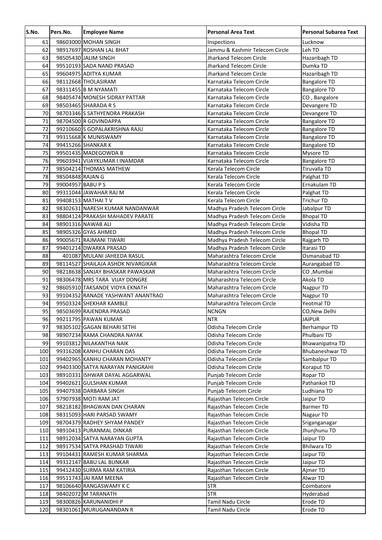| S.No.      | Pers.No.          | <b>Employee Name</b>                                  | <b>Personal Area Text</b>                                   | <b>Personal Subarea Text</b> |
|------------|-------------------|-------------------------------------------------------|-------------------------------------------------------------|------------------------------|
| 61         |                   | 98603000 MOHAN SINGH                                  | Inspections                                                 | Lucknow                      |
| 62         |                   | 98917697 ROSHAN LAL BHAT                              | Jammu & Kashmir Telecom Circle                              | Leh TD                       |
| 63         |                   | 98505430 JALIM SINGH                                  | <b>Jharkand Telecom Circle</b>                              | Hazaribagh TD                |
| 64         |                   | 99510193 SADA NAND PRASAD                             | <b>Jharkand Telecom Circle</b>                              | Dumka TD                     |
| 65         |                   | 99604975 ADITYA KUMAR                                 | Jharkand Telecom Circle                                     | Hazaribagh TD                |
| 66         |                   | 98112668 THOLASIRAM                                   | Karnataka Telecom Circle                                    | <b>Bangalore TD</b>          |
| 67         |                   | 98311455 B M NYAMATI                                  | Karnataka Telecom Circle                                    | <b>Bangalore TD</b>          |
| 68         |                   | 98405474 MONESH SIDRAY PATTAR                         | Karnataka Telecom Circle                                    | CO, Bangalore                |
| 69         |                   | 98503465 SHARADA R S                                  | Karnataka Telecom Circle                                    | Devangere TD                 |
| 70         |                   | 98703346 SATHYENDRA PRAKASH                           | Karnataka Telecom Circle                                    | Devangere TD                 |
| 71         |                   | 98704500 R GOVINDAPPA                                 | Karnataka Telecom Circle                                    | <b>Bangalore TD</b>          |
| 72         |                   | 99210660 S GOPALAKRISHNA RAJU                         | Karnataka Telecom Circle                                    | <b>Bangalore TD</b>          |
| 73         |                   | 99315668 K MUNISWAMY                                  | Karnataka Telecom Circle                                    | <b>Bangalore TD</b>          |
| 74         |                   | 99415266 SHANKAR K                                    | Karnataka Telecom Circle                                    | <b>Bangalore TD</b>          |
| 75         |                   | 99501435 MADEGOWDA B                                  | Karnataka Telecom Circle                                    | Mysore TD                    |
| 76         |                   | 99603941 VIJAYKUMAR I INAMDAR                         | Karnataka Telecom Circle                                    | <b>Bangalore TD</b>          |
| 77         |                   | 98504214 THOMAS MATHEW                                | Kerala Telecom Circle                                       | Tiruvalla TD                 |
| 78         | 98504848 RAJAN G  |                                                       | Kerala Telecom Circle                                       | Palghat TD                   |
| 79         | 99004957 BABU P S |                                                       | Kerala Telecom Circle                                       | Ernakulam TD                 |
| 80         |                   | 99311044 JAWAHAR RAJ M                                | Kerala Telecom Circle                                       | Palghat TD                   |
| 81         |                   | 99408153 MATHAI TV                                    | Kerala Telecom Circle                                       | <b>Trichur TD</b>            |
| 82         |                   | 98302631 NARESH KUMAR NANDANWAR                       | Madhya Pradesh Telecom Circle                               | Jabalpur TD                  |
| 83         |                   | 98804124 PRAKASH MAHADEV PARATE                       | Madhya Pradesh Telecom Circle                               | <b>Bhopal TD</b>             |
| 84         |                   | 98901316 NAWAB ALI                                    | Madhya Pradesh Telecom Circle                               | Vidisha TD                   |
| 85         |                   | 98905326 GYAS AHMED                                   | Madhya Pradesh Telecom Circle                               | <b>Bhopal TD</b>             |
| 86<br>87   |                   | 99005671 RAJMANI TIWARI                               | Madhya Pradesh Telecom Circle                               | Rajgarh TD<br>Itarasi TD     |
| 88         |                   | 99401214 DWARKA PRASAD<br>401087 MULANI JAHEEDA RASUL | Madhya Pradesh Telecom Circle<br>Maharashtra Telecom Circle | Osmanabad TD                 |
| 89         |                   | 98114527 SHAILAJA ASHOK NIVARGIKAR                    | Maharashtra Telecom Circle                                  | Aurangabad TD                |
| 90         |                   | 98218638 SANJAY BHASKAR PAWASKAR                      | Maharashtra Telecom Circle                                  | CO, Mumbai                   |
| 91         |                   | 98306478 MRS TARA VIJAY DONGRE                        | Maharashtra Telecom Circle                                  | Akola TD                     |
| 92         |                   | 98605910 TAKSANDE VIDYA EKNATH                        | Maharashtra Telecom Circle                                  | Nagpur TD                    |
| 93         |                   | 99104352 RANADE YASHWANT ANANTRAO                     | Maharashtra Telecom Circle                                  | Nagpur TD                    |
| 94         |                   | 99503324 SHEKHAR KAMBLE                               | Maharashtra Telecom Circle                                  | Yeotmal TD                   |
| 95         |                   | 98503699 RAJENDRA PRASAD                              | <b>NCNGN</b>                                                | CO, New Delhi                |
| 96         |                   | 99211795 PAWAN KUMAR                                  | <b>NTR</b>                                                  | <b>JAIPUR</b>                |
| 97         |                   | 98305102 GAGAN BEHARI SETHI                           | Odisha Telecom Circle                                       | <b>Berhampur TD</b>          |
| 98         |                   | 98907234 RAMA CHANDRA NAYAK                           | Odisha Telecom Circle                                       | Phulbani TD                  |
| 99         |                   | 99103812 NILAKANTHA NAIK                              | Odisha Telecom Circle                                       | Bhawanipatna TD              |
| 100        |                   | 99316208 KANHU CHARAN DAS                             | Odisha Telecom Circle                                       | Bhubaneshwar TD              |
| 101        |                   | 99402965 KANHU CHARAN MOHANTY                         | Odisha Telecom Circle                                       | Sambalpur TD                 |
| 102        |                   | 99403300 SATYA NARAYAN PANIGRAHI                      | Odisha Telecom Circle                                       | Koraput TD                   |
| 103        |                   | 98910331 ISHWAR DAYAL AGGARWAL                        | Punjab Telecom Circle                                       | Ropar TD                     |
| 104        |                   | 99402621 GULSHAN KUMAR                                | Punjab Telecom Circle                                       | Pathankot TD                 |
| 105        |                   | 99407938 DARBARA SINGH                                | Punjab Telecom Circle                                       | Ludhiana TD                  |
| 106        |                   | 97907938 MOTI RAM JAT                                 | Rajasthan Telecom Circle                                    | Jaipur TD                    |
| 107        |                   | 98218182 BHAGWAN DAN CHARAN                           | Rajasthan Telecom Circle                                    | <b>Barmer TD</b>             |
| 108        |                   | 98315093 HARI PARSAD SWAMY                            | Rajasthan Telecom Circle                                    | Nagaur TD                    |
| 109        |                   | 98704379 RADHEY SHYAM PANDEY                          | Rajasthan Telecom Circle                                    | Sriganganagar                |
| 110        |                   | 98910413 PURANMAL DINKAR                              | Rajasthan Telecom Circle                                    | Jhunjhunu TD                 |
| 111        |                   | 98912034 SATYA NARAYAN GUPTA                          | Rajasthan Telecom Circle                                    | Jaipur TD                    |
| 112        |                   | 98917534 SATYA PRASHAD TIWARI                         | Rajasthan Telecom Circle                                    | <b>Bhilwara TD</b>           |
| 113        |                   | 99104431 RAMESH KUMAR SHARMA                          | Rajasthan Telecom Circle                                    | Jaipur TD                    |
| 114<br>115 |                   | 99312147 BABU LAL BUNKAR                              | Rajasthan Telecom Circle<br>Rajasthan Telecom Circle        | Jaipur TD                    |
|            |                   | 99412430 SURMA RAM KATIRIA<br>99511743 JAI RAM MEENA  | Rajasthan Telecom Circle                                    | Ajmer TD<br>Alwar TD         |
| 116<br>117 |                   | 98106640 RANGASWAMY K C                               | <b>STR</b>                                                  | Coimbatore                   |
| 118        |                   | 98402072 M TARANATH                                   | <b>STR</b>                                                  | Hyderabad                    |
| 119        |                   | 98300826 KARUNANIDHI P                                | Tamil Nadu Circle                                           | Erode TD                     |
| 120        |                   | 98301061 MURUGANANDAN R                               | Tamil Nadu Circle                                           | Erode TD                     |